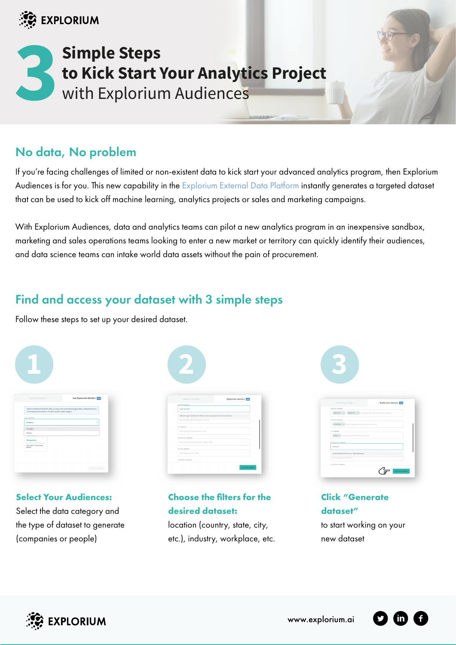

# **Simple Steps to Kick Start Your Analytics Project** with Explorium Audiences

# No data, No problem

If you're facing challenges of limited or non-existent data to kick start your advanced analytics program, then Explorium Audiences is for you. This new capability in the [Explorium External Data Platform](https://www.explorium.ai/platform-overview/) instantly generates a targeted dataset that can be used to kick off machine learning, analytics projects or sales and marketing campaigns.

With Explorium Audiences, data and analytics teams can pilot a new analytics program in an inexpensive sandbox, marketing and sales operations teams looking to enter a new market or territory can quickly identify their audiences, and data science teams can intake world data assets without the pain of procurement.

## Find and access your dataset with 3 simple steps

Follow these steps to set up your desired dataset.

| Upload a dataset                                                                                                                                                           | <b>Use Explorium Starters</b> |
|----------------------------------------------------------------------------------------------------------------------------------------------------------------------------|-------------------------------|
| Explorium Starters finds the data you need and automatically generates a dataset that you<br>can analyze and transform. To start, select a data category.<br>DATA CATEGORY |                               |
| Company                                                                                                                                                                    | ٠                             |
| Company                                                                                                                                                                    |                               |
| Person                                                                                                                                                                     |                               |
| Companies                                                                                                                                                                  |                               |
| Information on businesses<br>plobally                                                                                                                                      |                               |
|                                                                                                                                                                            |                               |

#### **Select Your Audiences:**

Select the data category and the type of dataset to generate (companies or people)

| Upload core data                               | Explorium starters Nov                                            |  |
|------------------------------------------------|-------------------------------------------------------------------|--|
| INDUSTRY applicable                            |                                                                   |  |
| supermarket                                    |                                                                   |  |
|                                                | 445110 Supermarkets and Other Grocery (except Convenience) Stores |  |
| Start typing to find and select a country      |                                                                   |  |
| OTY optional                                   |                                                                   |  |
| Start typing to find and select a city         |                                                                   |  |
| RECION/STATE optional                          |                                                                   |  |
| Start typing to find and select a region/state |                                                                   |  |
| ZIP CODE episonal                              |                                                                   |  |
| Start typing and hit Enter                     |                                                                   |  |
|                                                |                                                                   |  |
| HAS WEEGHT, epilonal                           |                                                                   |  |

#### **Choose the filters for the desired dataset:**

location (country, state, city, etc.), industry, workplace, etc.



| INDUSTRY optional                                        |                                                         |
|----------------------------------------------------------|---------------------------------------------------------|
| 445110 Su., X                                            | 424490 OL. X Start typing to find and select a industry |
| COUNTRY netienal                                         |                                                         |
| United Sta., X Start typing to find and select a country |                                                         |
| CITY optional                                            |                                                         |
| boston X Start typing to find and select a city          |                                                         |
| REGIONISTATE optional                                    |                                                         |
| Massach                                                  |                                                         |
| United States Of America - Massachusetts                 |                                                         |
| Start typing and hit Enter                               |                                                         |
| HAS INTRUSTS methods                                     |                                                         |

**Click "Generate dataset"** to start working on your new dataset